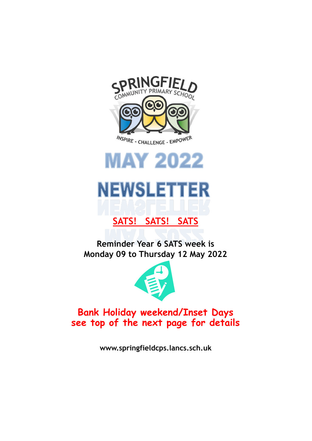



# **NEWSLETTER**

# **SATS! SATS! SATS**

**Reminder Year 6 SATS week is Monday 09 to Thursday 12 May 2022**



# **Bank Holiday weekend/Inset Days see top of the next page for details**

**www.springfieldcps.lancs.sch.uk**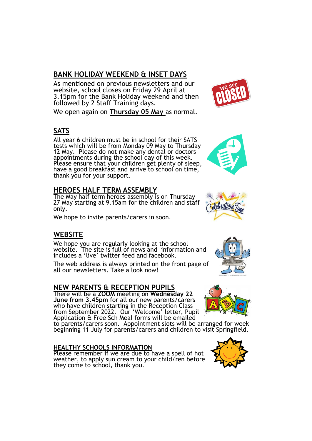#### **BANK HOLIDAY WEEKEND & INSET DAYS**

As mentioned on previous newsletters and our website, school closes on Friday 29 April at 3.15pm for the Bank Holiday weekend and then followed by 2 Staff Training days.

We open again on **Thursday 05 May** as normal.

# **SATS**

All year 6 children must be in school for their SATS tests which will be from Monday 09 May to Thursday 12 May. Please do not make any dental or doctors appointments during the school day of this week. Please ensure that your children get plenty of sleep, have a good breakfast and arrive to school on time, thank you for your support.

#### **HEROES HALF TERM ASSEMBLY**

The May half term heroes assembly is on Thursday 27 May starting at 9.15am for the children and staff only.

We hope to invite parents/carers in soon.

# **WEBSITE**

We hope you are regularly looking at the school website. The site is full of news and information and includes a 'live' twitter feed and facebook.

The web address is always printed on the front page of all our newsletters. Take a look now!

#### **NEW PARENTS & RECEPTION PUPILS**

There will be a **ZOOM** meeting on **Wednesday 22 June from 3.45pm** for all our new parents/carers who have children starting in the Reception Class from September 2022. Our 'Welcome' letter, Pupil Application & Free Sch Meal forms will be emailed

to parents/carers soon. Appointment slots will be arranged for week beginning 11 July for parents/carers and children to visit Springfield.

#### **HEALTHY SCHOOLS INFORMATION**

Please remember if we are due to have a spell of hot weather, to apply sun cream to your child/ren before they come to school, thank you.









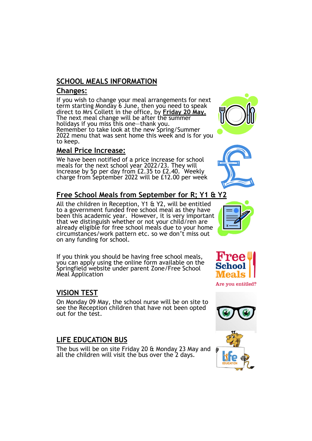#### **SCHOOL MEALS INFORMATION**

#### **Changes:**

If you wish to change your meal arrangements for next term starting Monday 6 June, then you need to speak direct to Mrs Collett in the office, by **Friday 20 May.** The next meal change will be after the summer holidays if you miss this one—thank you. Remember to take look at the new Spring/Summer 2022 menu that was sent home this week and is for you to keep.

#### **Meal Price Increase:**

We have been notified of a price increase for school meals for the next school year 2022/23. They will increase by 5p per day from £2.35 to £2.40. Weekly charge from September 2022 will be £12.00 per week

# **Free School Meals from September for R; Y1 & Y2**

All the children in Reception, Y1 & Y2, will be entitled to a government funded free school meal as they have been this academic year. However, it is very important that we distinguish whether or not your child/ren are already eligible for free school meals due to your home circumstances/work pattern etc. so we don't miss out on any funding for school.

If you think you should be having free school meals, you can apply using the online form available on the Springfield website under parent Zone/Free School Meal Application

#### **VISION TEST**

On Monday 09 May, the school nurse will be on site to see the Reception children that have not been opted out for the test.

#### **LIFE EDUCATION BUS**

The bus will be on site Friday 20 & Monday 23 May and all the children will visit the bus over the 2 days.